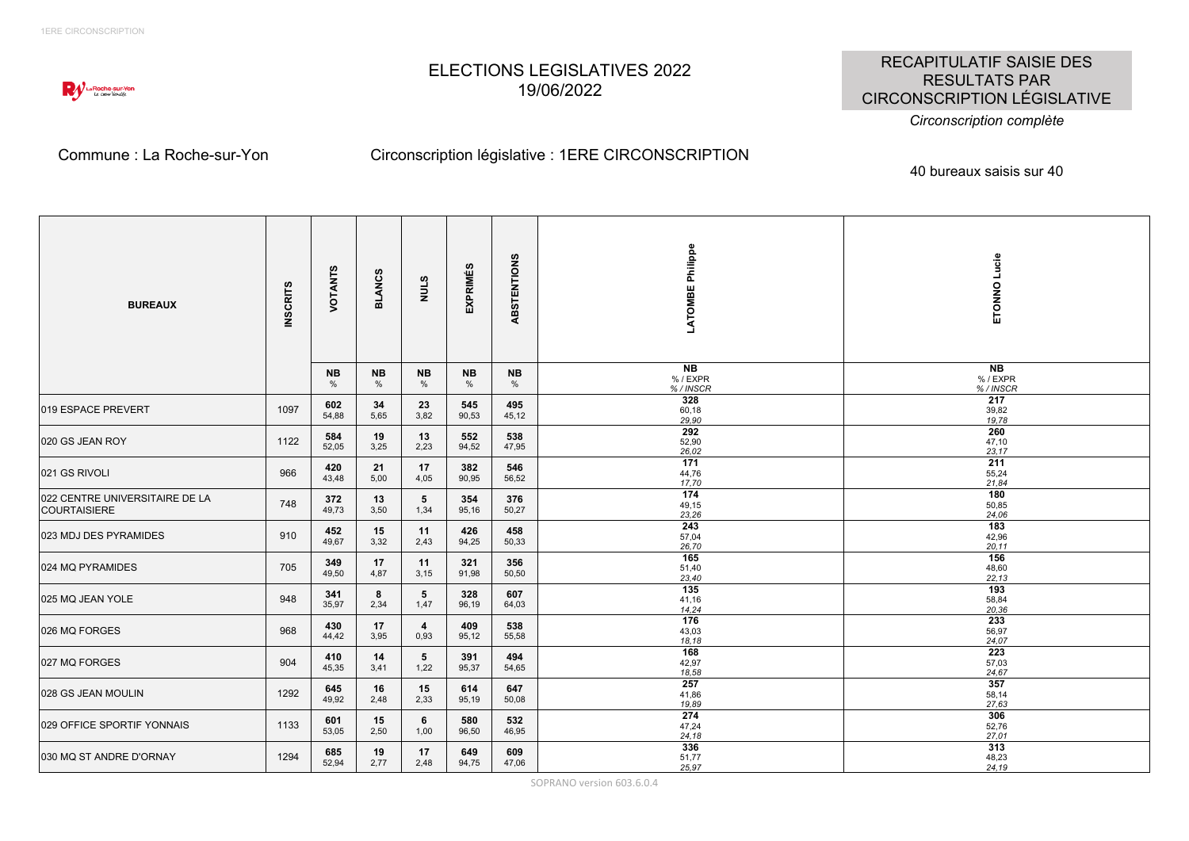

# ELECTIONS LEGISLATIVES 2022 19/06/2022

RECAPITULATIF SAISIE DES RESULTATS PAR CIRCONSCRIPTION LÉGISLATIVE

#### *Circonscription complète*

### Commune : La Roche-sur-Yon Circonscription législative : 1ERE CIRCONSCRIPTION

40 bureaux saisis sur 40

| <b>BUREAUX</b>                                 | <b>INSCRITS</b> | VOTANTS                    | ပ္ပ<br><b>BLAN</b> | STINN                  | <b>EXPRIMÉS</b> | ABSTENTIONS       | LATOMBE Philippe        | ETONNO Lucie                        |
|------------------------------------------------|-----------------|----------------------------|--------------------|------------------------|-----------------|-------------------|-------------------------|-------------------------------------|
|                                                |                 | <b>NB</b><br>$\frac{0}{6}$ | <b>NB</b><br>%     | <b>NB</b><br>$\%$      | <b>NB</b><br>%  | <b>NB</b><br>$\%$ | NB<br>%/EXPR<br>%/INSCR | N <sub>B</sub><br>%/EXPR<br>%/INSCR |
| 019 ESPACE PREVERT                             | 1097            | 602<br>54,88               | 34<br>5,65         | 23<br>3,82             | 545<br>90,53    | 495<br>45,12      | 328<br>60,18<br>29.90   | 217<br>39,82<br>19,78               |
| 020 GS JEAN ROY                                | 1122            | 584<br>52,05               | 19<br>3,25         | 13<br>2,23             | 552<br>94,52    | 538<br>47,95      | 292<br>52,90<br>26,02   | 260<br>47,10<br>23,17               |
| 021 GS RIVOLI                                  | 966             | 420<br>43,48               | 21<br>5,00         | 17<br>4,05             | 382<br>90,95    | 546<br>56,52      | 171<br>44,76<br>17,70   | 211<br>55,24<br>21,84               |
| 022 CENTRE UNIVERSITAIRE DE LA<br>COURTAISIERE | 748             | 372<br>49,73               | 13<br>3,50         | 5<br>1,34              | 354<br>95,16    | 376<br>50,27      | 174<br>49,15<br>23,26   | 180<br>50,85<br>24,06               |
| 023 MDJ DES PYRAMIDES                          | 910             | 452<br>49,67               | 15<br>3,32         | 11<br>2,43             | 426<br>94,25    | 458<br>50,33      | 243<br>57,04<br>26,70   | 183<br>42,96<br>20, 11              |
| 024 MQ PYRAMIDES                               | 705             | 349<br>49,50               | 17<br>4,87         | 11<br>3,15             | 321<br>91,98    | 356<br>50,50      | 165<br>51,40<br>23,40   | 156<br>48,60<br>22, 13              |
| 025 MQ JEAN YOLE                               | 948             | 341<br>35,97               | 8<br>2,34          | 5<br>1,47              | 328<br>96,19    | 607<br>64,03      | 135<br>41,16<br>14,24   | 193<br>58,84<br>20,36               |
| 026 MQ FORGES                                  | 968             | 430<br>44,42               | 17<br>3,95         | $\overline{4}$<br>0,93 | 409<br>95,12    | 538<br>55,58      | 176<br>43,03<br>18,18   | 233<br>56,97<br>24,07               |
| 027 MQ FORGES                                  | 904             | 410<br>45,35               | 14<br>3,41         | 5<br>1,22              | 391<br>95,37    | 494<br>54,65      | 168<br>42,97<br>18,58   | 223<br>57,03<br>24,67               |
| 028 GS JEAN MOULIN                             | 1292            | 645<br>49,92               | 16<br>2,48         | 15<br>2,33             | 614<br>95,19    | 647<br>50,08      | 257<br>41,86<br>19,89   | 357<br>58,14<br>27,63               |
| 029 OFFICE SPORTIF YONNAIS                     | 1133            | 601<br>53,05               | 15<br>2,50         | 6<br>1,00              | 580<br>96,50    | 532<br>46,95      | 274<br>47,24<br>24,18   | 306<br>52,76<br>27,01               |
| 030 MQ ST ANDRE D'ORNAY                        | 1294            | 685<br>52,94               | 19<br>2,77         | 17<br>2,48             | 649<br>94,75    | 609<br>47,06      | 336<br>51,77<br>25,97   | 313<br>48,23<br>24,19               |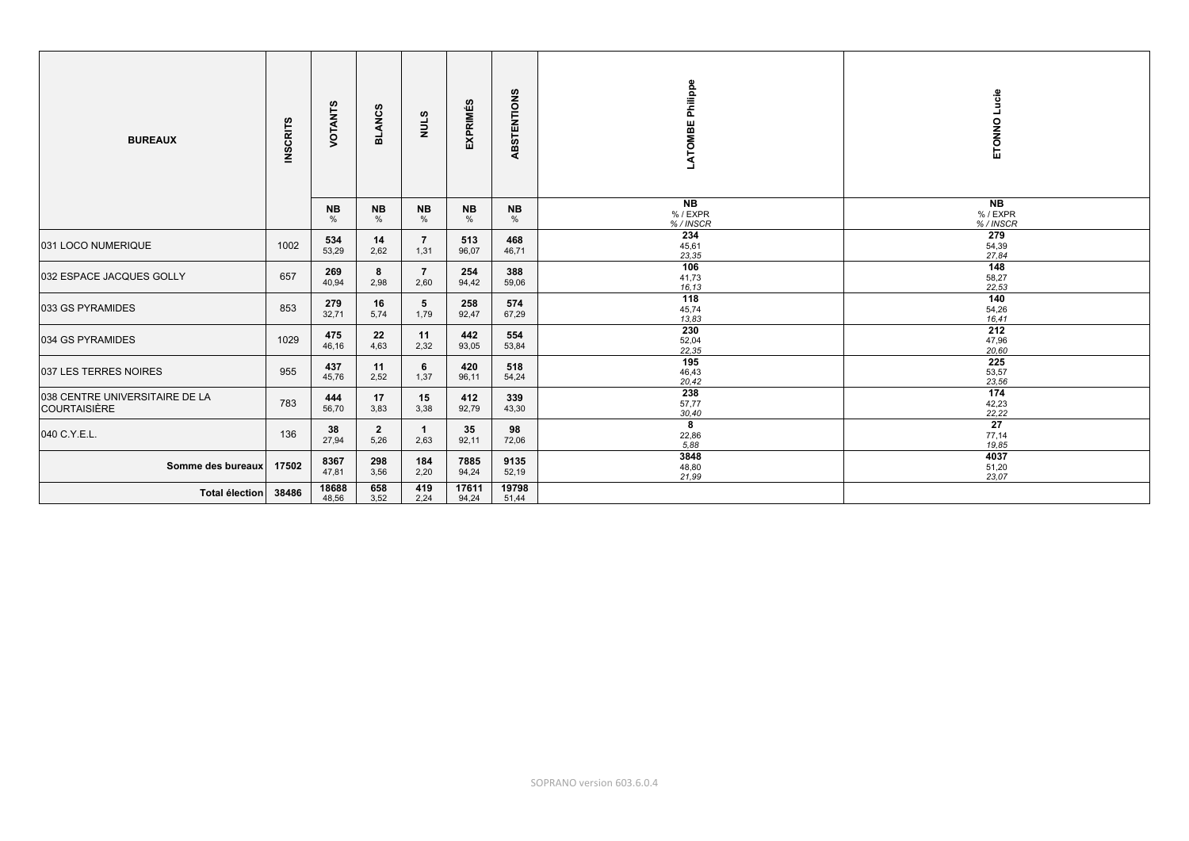| <b>BUREAUX</b>                                 | <b>INSCRITS</b> | VOTANTS                    | <b>BLANCS</b>          | ဖာ<br>NNT:             | <b>EXPRIMÉS</b> | ABSTENTIONS       | Philippe<br>LATOMBE              | Lucie<br>ETONNO                       |
|------------------------------------------------|-----------------|----------------------------|------------------------|------------------------|-----------------|-------------------|----------------------------------|---------------------------------------|
|                                                |                 | <b>NB</b><br>$\frac{0}{0}$ | <b>NB</b><br>$\%$      | <b>NB</b><br>$\%$      | <b>NB</b><br>%  | <b>NB</b><br>$\%$ | <b>NB</b><br>% / EXPR<br>%/INSCR | N <sub>B</sub><br>% / EXPR<br>%/INSCR |
| 031 LOCO NUMERIQUE                             | 1002            | 534<br>53,29               | 14<br>2,62             | $\overline{7}$<br>1,31 | 513<br>96,07    | 468<br>46,71      | 234<br>45,61<br>23,35            | 279<br>54,39<br>27,84                 |
| 032 ESPACE JACQUES GOLLY                       | 657             | 269<br>40,94               | 8<br>2,98              | $\overline{7}$<br>2,60 | 254<br>94,42    | 388<br>59,06      | 106<br>41,73<br>16,13            | 148<br>58,27<br>22,53                 |
| 033 GS PYRAMIDES                               | 853             | 279<br>32,71               | 16<br>5,74             | 5<br>1,79              | 258<br>92,47    | 574<br>67,29      | 118<br>45,74<br>13,83            | 140<br>54,26<br>16,41                 |
| 034 GS PYRAMIDES                               | 1029            | 475<br>46,16               | 22<br>4,63             | 11<br>2,32             | 442<br>93,05    | 554<br>53,84      | 230<br>52,04<br>22,35            | 212<br>47,96<br>20,60                 |
| 037 LES TERRES NOIRES                          | 955             | 437<br>45,76               | 11<br>2,52             | 6<br>1,37              | 420<br>96,11    | 518<br>54,24      | 195<br>46,43<br>20,42            | 225<br>53,57<br>23,56                 |
| 038 CENTRE UNIVERSITAIRE DE LA<br>COURTAISIÈRE | 783             | 444<br>56,70               | 17<br>3,83             | 15<br>3,38             | 412<br>92,79    | 339<br>43,30      | 238<br>57,77<br>30,40            | 174<br>42,23<br>22,22                 |
| 040 C.Y.E.L.                                   | 136             | 38<br>27,94                | $\overline{2}$<br>5,26 | 1<br>2,63              | 35<br>92,11     | 98<br>72,06       | 8<br>22,86<br>5,88               | $\overline{27}$<br>77,14<br>19,85     |
| Somme des bureaux                              | 17502           | 8367<br>47,81              | 298<br>3,56            | 184<br>2,20            | 7885<br>94,24   | 9135<br>52,19     | 3848<br>48,80<br>21,99           | 4037<br>51,20<br>23,07                |
| Total élection                                 | 38486           | 18688<br>48,56             | 658<br>3,52            | 419<br>2,24            | 17611<br>94,24  | 19798<br>51,44    |                                  |                                       |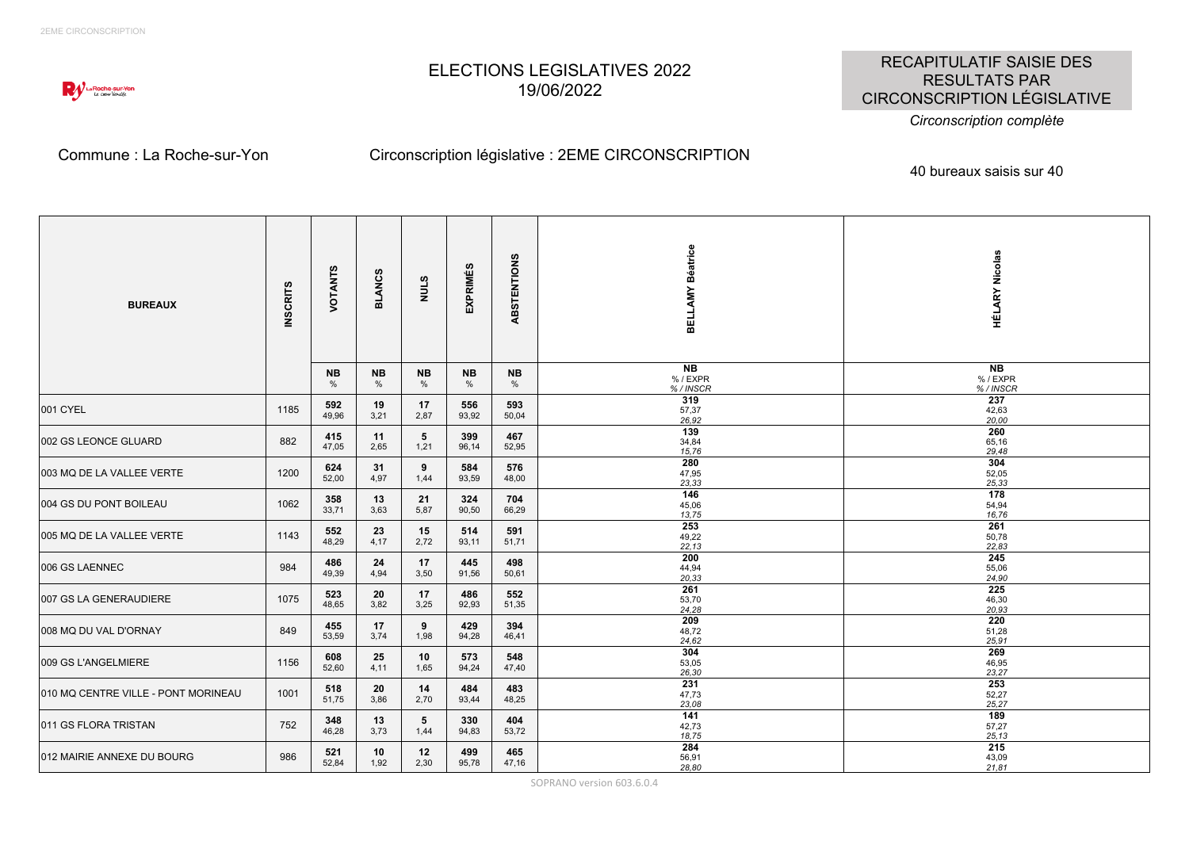

# ELECTIONS LEGISLATIVES 2022 19/06/2022

RECAPITULATIF SAISIE DES RESULTATS PAR CIRCONSCRIPTION LÉGISLATIVE

#### *Circonscription complète*

### Commune : La Roche-sur-Yon Circonscription législative : 2EME CIRCONSCRIPTION

40 bureaux saisis sur 40

| <b>BUREAUX</b>                      | <b>INSCRITS</b> | VOTANTS             | <b>BLANCS</b>  | STINN                   | ဖာ<br>EXPRIMÉ  | ABSTENTIONS    | BELLAMY Béatrice                   | <b>HÉLARY Nicolas</b>          |
|-------------------------------------|-----------------|---------------------|----------------|-------------------------|----------------|----------------|------------------------------------|--------------------------------|
|                                     |                 | NB<br>$\frac{0}{0}$ | <b>NB</b><br>% | <b>NB</b><br>%          | <b>NB</b><br>% | <b>NB</b><br>% | <b>NB</b><br>%/EXPR<br>%/INSCR     | <b>NB</b><br>%/EXPR<br>%/INSCR |
| 001 CYEL                            | 1185            | 592<br>49,96        | 19<br>3,21     | 17<br>2,87              | 556<br>93,92   | 593<br>50,04   | 319<br>57,37<br>26,92              | 237<br>42,63<br>20,00          |
| 002 GS LEONCE GLUARD                | 882             | 415<br>47,05        | 11<br>2,65     | 5<br>1,21               | 399<br>96,14   | 467<br>52,95   | 139<br>34,84<br>15,76              | 260<br>65,16<br>29,48          |
| 003 MQ DE LA VALLEE VERTE           | 1200            | 624<br>52,00        | 31<br>4,97     | 9<br>1,44               | 584<br>93,59   | 576<br>48,00   | 280<br>47,95<br>23,33              | 304<br>52,05<br>25,33          |
| 1004 GS DU PONT BOILEAU             | 1062            | 358<br>33,71        | 13<br>3,63     | 21<br>5,87              | 324<br>90,50   | 704<br>66,29   | $\frac{146}{ }$<br>45,06<br>13,75  | 178<br>54,94<br>16,76          |
| 005 MQ DE LA VALLEE VERTE           | 1143            | 552<br>48,29        | 23<br>4,17     | 15<br>2,72              | 514<br>93,11   | 591<br>51,71   | 253<br>49,22<br>22, 13             | 261<br>50,78<br>22,83          |
| 006 GS LAENNEC                      | 984             | 486<br>49,39        | 24<br>4,94     | 17<br>3,50              | 445<br>91,56   | 498<br>50,61   | $\overline{200}$<br>44,94<br>20,33 | 245<br>55,06<br>24,90          |
| 007 GS LA GENERAUDIERE              | 1075            | 523<br>48,65        | 20<br>3,82     | 17<br>3,25              | 486<br>92,93   | 552<br>51,35   | 261<br>53,70<br>24,28              | 225<br>46,30<br>20,93          |
| 008 MQ DU VAL D'ORNAY               | 849             | 455<br>53,59        | 17<br>3,74     | 9<br>1,98               | 429<br>94,28   | 394<br>46,41   | 209<br>48,72<br>24,62              | 220<br>51,28<br>25,91          |
| 009 GS L'ANGELMIERE                 | 1156            | 608<br>52,60        | 25<br>4,11     | 10<br>1,65              | 573<br>94,24   | 548<br>47,40   | 304<br>53,05<br>26,30              | 269<br>46,95<br>23,27          |
| 010 MQ CENTRE VILLE - PONT MORINEAU | 1001            | 518<br>51,75        | 20<br>3,86     | 14<br>2,70              | 484<br>93,44   | 483<br>48,25   | 231<br>47,73<br>23.08              | 253<br>52,27<br>25,27          |
| 011 GS FLORA TRISTAN                | 752             | 348<br>46,28        | 13<br>3,73     | $5\phantom{.0}$<br>1,44 | 330<br>94,83   | 404<br>53,72   | 141<br>42,73<br>18,75              | 189<br>57,27<br>25, 13         |
| 012 MAIRIE ANNEXE DU BOURG          | 986             | 521<br>52,84        | 10<br>1,92     | 12<br>2,30              | 499<br>95,78   | 465<br>47,16   | 284<br>56,91<br>28,80              | 215<br>43,09<br>21,81          |